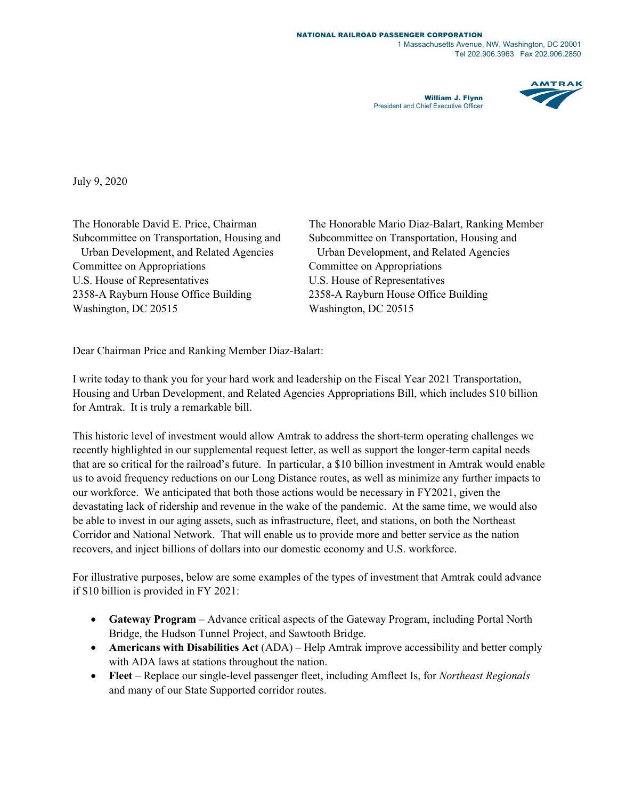1 Massachusetts Avenue, NW, Washington, DC 20001 Tel 202.906.3963 Fax 202.906.2850

William J. Flynn President and Chief Executive Officer



July 9, 2020

Committee on Appropriations Committee on Appropriations U.S. House of Representatives U.S. House of Representatives 2358-A Rayburn House Office Building 2358-A Rayburn House Office Building Washington, DC 20515 Washington, DC 20515

The Honorable David E. Price, Chairman The Honorable Mario Diaz-Balart, Ranking Member Subcommittee on Transportation, Housing and Subcommittee on Transportation, Housing and Urban Development, and Related Agencies Urban Development, and Related Agencies

Dear Chairman Price and Ranking Member Diaz-Balart:

I write today to thank you for your hard work and leadership on the Fiscal Year 2021 Transportation, Housing and Urban Development, and Related Agencies Appropriations Bill, which includes \$10 billion for Amtrak. It is truly a remarkable bill.

This historic level of investment would allow Amtrak to address the short-term operating challenges we recently highlighted in our supplemental request letter, as well as support the longer-term capital needs that are so critical for the railroad's future. In particular, a \$10 billion investment in Amtrak would enable us to avoid frequency reductions on our Long Distance routes, as well as minimize any further impacts to our workforce. We anticipated that both those actions would be necessary in FY2021, given the devastating lack of ridership and revenue in the wake of the pandemic. At the same time, we would also be able to invest in our aging assets, such as infrastructure, fleet, and stations, on both the Northeast Corridor and National Network. That will enable us to provide more and better service as the nation recovers, and inject billions of dollars into our domestic economy and U.S. workforce.

For illustrative purposes, below are some examples of the types of investment that Amtrak could advance if \$10 billion is provided in FY 2021:

- **Gateway Program** Advance critical aspects of the Gateway Program, including Portal North Bridge, the Hudson Tunnel Project, and Sawtooth Bridge.
- **Americans with Disabilities Act** (ADA) Help Amtrak improve accessibility and better comply with ADA laws at stations throughout the nation.
- **Fleet** Replace our single-level passenger fleet, including Amfleet Is, for *Northeast Regionals*  and many of our State Supported corridor routes.